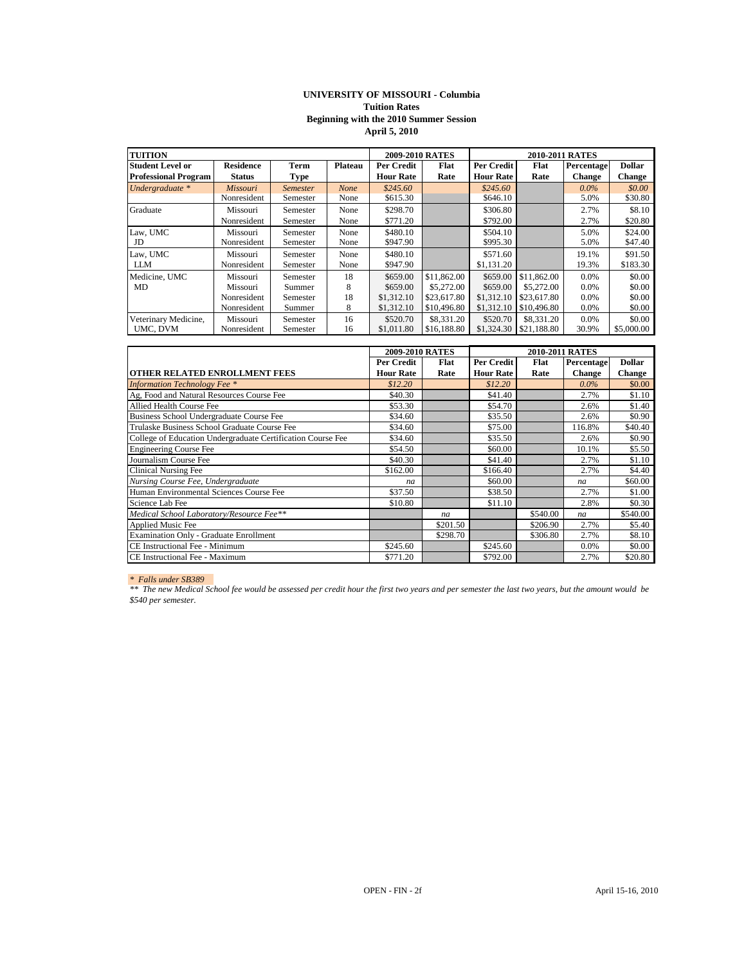### **UNIVERSITY OF MISSOURI - Columbia Tuition Rates Beginning with the 2010 Summer Session April 5, 2010**

| <b>TUITION</b>              |                  |                 |             | <b>2009-2010 RATES</b> |             | 2010-2011 RATES  |             |               |               |
|-----------------------------|------------------|-----------------|-------------|------------------------|-------------|------------------|-------------|---------------|---------------|
| <b>Student Level or</b>     | <b>Residence</b> | Term            | Plateau     | Per Credit             | Flat        | Per Credit       | Flat        | Percentage    | <b>Dollar</b> |
| <b>Professional Program</b> | <b>Status</b>    | Type            |             | <b>Hour Rate</b>       | Rate        | <b>Hour Rate</b> | Rate        | <b>Change</b> | <b>Change</b> |
| Undergraduate *             | Missouri         | <b>Semester</b> | <b>None</b> | \$245.60               |             | \$245.60         |             | $0.0\%$       | \$0.00        |
|                             | Nonresident      | Semester        | None        | \$615.30               |             | \$646.10         |             | 5.0%          | \$30.80       |
| Graduate                    | Missouri         | Semester        | None        | \$298.70               |             | \$306.80         |             | 2.7%          | \$8.10        |
|                             | Nonresident      | Semester        | None        | \$771.20               |             | \$792.00         |             | 2.7%          | \$20.80       |
| Law. UMC                    | Missouri         | Semester        | None        | \$480.10               |             | \$504.10         |             | 5.0%          | \$24.00       |
| JD                          | Nonresident      | Semester        | None        | \$947.90               |             | \$995.30         |             | 5.0%          | \$47.40       |
| Law, UMC                    | Missouri         | Semester        | None        | \$480.10               |             | \$571.60         |             | 19.1%         | \$91.50       |
| <b>LLM</b>                  | Nonresident      | Semester        | None        | \$947.90               |             | \$1,131.20       |             | 19.3%         | \$183.30      |
| Medicine, UMC               | Missouri         | Semester        | 18          | \$659.00               | \$11,862.00 | \$659.00         | \$11,862.00 | 0.0%          | \$0.00        |
| MD                          | Missouri         | Summer          | 8           | \$659.00               | \$5,272,00  | \$659.00         | \$5,272.00  | 0.0%          | \$0.00        |
|                             | Nonresident      | Semester        | 18          | \$1,312.10             | \$23,617.80 | \$1,312.10       | \$23,617.80 | $0.0\%$       | \$0.00        |
|                             | Nonresident      | Summer          | 8           | \$1,312.10             | \$10,496.80 | \$1,312.10       | \$10,496.80 | $0.0\%$       | \$0.00        |
| Veterinary Medicine,        | Missouri         | Semester        | 16          | \$520.70               | \$8,331.20  | \$520.70         | \$8,331.20  | 0.0%          | \$0.00        |
| UMC, DVM                    | Nonresident      | Semester        | 16          | \$1,011.80             | \$16,188.80 | \$1,324.30       | \$21,188.80 | 30.9%         | \$5,000.00    |

|                                                             | 2009-2010 RATES  |          | 2010-2011 RATES   |          |               |               |  |
|-------------------------------------------------------------|------------------|----------|-------------------|----------|---------------|---------------|--|
|                                                             | Per Credit       | Flat     | <b>Per Credit</b> | Flat     | Percentage    | <b>Dollar</b> |  |
| OTHER RELATED ENROLLMENT FEES                               | <b>Hour Rate</b> | Rate     | <b>Hour Rate</b>  | Rate     | <b>Change</b> | <b>Change</b> |  |
| <b>Information Technology Fee</b> *                         | \$12.20          |          | \$12.20           |          | $0.0\%$       | \$0.00        |  |
| Ag, Food and Natural Resources Course Fee                   | \$40.30          |          | \$41.40           |          | 2.7%          | \$1.10        |  |
| Allied Health Course Fee                                    | \$53.30          |          | \$54.70           |          | 2.6%          | \$1.40        |  |
| Business School Undergraduate Course Fee                    | \$34.60          |          | \$35.50           |          | 2.6%          | \$0.90        |  |
| Trulaske Business School Graduate Course Fee                | \$34.60          |          | \$75.00           |          | 116.8%        | \$40.40       |  |
| College of Education Undergraduate Certification Course Fee | \$34.60          |          | \$35.50           |          | 2.6%          | \$0.90        |  |
| <b>Engineering Course Fee</b>                               | \$54.50          |          | \$60.00           |          | 10.1%         | \$5.50        |  |
| Journalism Course Fee                                       | \$40.30          |          | \$41.40           |          | 2.7%          | \$1.10        |  |
| <b>Clinical Nursing Fee</b>                                 | \$162.00         |          | \$166.40          |          | 2.7%          | \$4.40        |  |
| Nursing Course Fee, Undergraduate                           | na               |          | \$60.00           |          | na            | \$60.00       |  |
| Human Environmental Sciences Course Fee                     | \$37.50          |          | \$38.50           |          | 2.7%          | \$1.00        |  |
| Science Lab Fee                                             | \$10.80          |          | \$11.10           |          | 2.8%          | \$0.30        |  |
| Medical School Laboratory/Resource Fee**                    |                  | na       |                   | \$540.00 | na            | \$540.00      |  |
| <b>Applied Music Fee</b>                                    |                  | \$201.50 |                   | \$206.90 | 2.7%          | \$5.40        |  |
| <b>Examination Only - Graduate Enrollment</b>               |                  | \$298.70 |                   | \$306.80 | 2.7%          | \$8.10        |  |
| CE Instructional Fee - Minimum                              | \$245.60         |          | \$245.60          |          | 0.0%          | \$0.00        |  |
| CE Instructional Fee - Maximum                              | \$771.20         |          | \$792.00          |          | 2.7%          | \$20.80       |  |

### *\* Falls under SB389*

*\*\* The new Medical School fee would be assessed per credit hour the first two years and per semester the last two years, but the amount would be \$540 per semester.*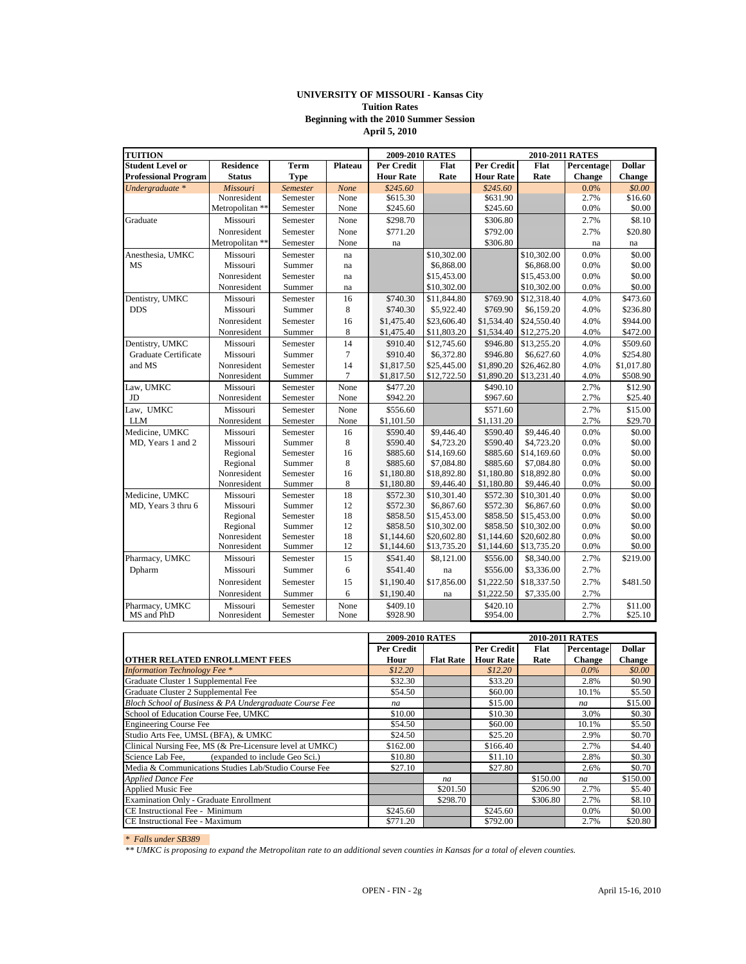## **UNIVERSITY OF MISSOURI - Kansas City Tuition Rates Beginning with the 2010 Summer Session April 5, 2010**

| <b>TUITION</b>               |                         |                      |              | 2009-2010 RATES          |                            | 2010-2011 RATES          |                            |              |                    |
|------------------------------|-------------------------|----------------------|--------------|--------------------------|----------------------------|--------------------------|----------------------------|--------------|--------------------|
| <b>Student Level or</b>      | <b>Residence</b>        | <b>Term</b>          | Plateau      | <b>Per Credit</b>        | Flat                       | <b>Per Credit</b>        | Flat                       | Percentage   | <b>Dollar</b>      |
| <b>Professional Program</b>  | <b>Status</b>           | <b>Type</b>          |              | <b>Hour Rate</b>         | Rate                       | <b>Hour Rate</b>         | Rate                       | Change       | Change             |
| Undergraduate *              | Missouri                | Semester             | None         | \$245.60                 |                            | \$245.60                 |                            | 0.0%         | \$0.00             |
|                              | Nonresident             | Semester             | None         | \$615.30                 |                            | \$631.90                 |                            | 2.7%         | \$16.60            |
|                              | Metropolitan **         | Semester             | None         | \$245.60                 |                            | \$245.60                 |                            | 0.0%         | \$0.00             |
| Graduate                     | Missouri                | Semester             | None         | \$298.70                 |                            | \$306.80                 |                            | 2.7%         | \$8.10             |
|                              | Nonresident             | Semester             | None         | \$771.20                 |                            | \$792.00                 |                            | 2.7%         | \$20.80            |
|                              | Metropolitan **         | Semester             | None         | na                       |                            | \$306.80                 |                            | na           | na                 |
| Anesthesia, UMKC             | Missouri                | Semester             | na           |                          | \$10,302.00                |                          | \$10,302.00                | 0.0%         | \$0.00             |
| MS                           | Missouri                | Summer               | na           |                          | \$6,868.00                 |                          | \$6,868.00                 | 0.0%         | \$0.00             |
|                              | Nonresident             | Semester             | na           |                          | \$15,453.00                |                          | \$15,453.00                | 0.0%         | \$0.00             |
|                              | Nonresident             | Summer               | na           |                          | \$10,302.00                |                          | \$10,302.00                | 0.0%         | \$0.00             |
| Dentistry, UMKC              | Missouri                | Semester             | 16           | \$740.30                 | \$11,844.80                | \$769.90                 | \$12,318.40                | 4.0%         | \$473.60           |
| <b>DDS</b>                   | Missouri                | Summer               | 8            | \$740.30                 | \$5,922.40                 | \$769.90                 | \$6,159.20                 | 4.0%         | \$236.80           |
|                              | Nonresident             | Semester             | 16           | \$1,475.40               | \$23,606.40                | \$1,534.40               | \$24,550.40                | 4.0%         | \$944.00           |
|                              | Nonresident             | Summer               | 8            | \$1,475.40               | \$11,803.20                | \$1,534.40               | \$12,275.20                | 4.0%         | \$472.00           |
| Dentistry, UMKC              | Missouri                | Semester             | 14           | \$910.40                 | \$12,745.60                | \$946.80                 | \$13,255.20                | 4.0%         | \$509.60           |
| <b>Graduate Certificate</b>  | Missouri                | Summer               | $\tau$       | \$910.40                 | \$6,372.80                 | \$946.80                 | \$6,627.60                 | 4.0%         | \$254.80           |
| and MS                       | Nonresident             | Semester             | 14           | \$1,817.50               | \$25,445.00                | \$1,890.20               | \$26,462.80                | 4.0%         | \$1,017.80         |
|                              | Nonresident             | Summer               | $\tau$       | \$1,817.50               | \$12,722.50                | \$1,890.20               | \$13,231.40                | 4.0%         | \$508.90           |
| Law, UMKC                    | Missouri                | Semester             | None         | \$477.20                 |                            | \$490.10                 |                            | 2.7%         | \$12.90            |
| JD                           | Nonresident             | Semester             | None         | \$942.20                 |                            | \$967.60                 |                            | 2.7%         | \$25.40            |
| Law, UMKC                    | Missouri                | Semester             | None         | \$556.60                 |                            | \$571.60                 |                            | 2.7%         | \$15.00            |
| $LLM$                        | Nonresident             | Semester             | None         | \$1,101.50               |                            | \$1,131.20               |                            | 2.7%         | \$29.70            |
| Medicine, UMKC               | Missouri                | Semester             | 16           | \$590.40                 | \$9,446.40                 | \$590.40                 | \$9,446.40                 | 0.0%         | \$0.00             |
| MD, Years 1 and 2            | Missouri                | Summer               | 8            | \$590.40                 | \$4,723.20                 | \$590.40                 | \$4,723.20                 | 0.0%         | \$0.00             |
|                              | Regional                | Semester             | 16           | \$885.60                 | \$14,169.60                | \$885.60                 | \$14,169.60                | 0.0%         | \$0.00             |
|                              | Regional                | Summer               | 8            | \$885.60                 | \$7,084.80                 | \$885.60                 | \$7,084.80                 | 0.0%         | \$0.00             |
|                              | Nonresident             | Semester             | 16           | \$1,180.80               | \$18,892.80                | \$1,180.80               | \$18,892.80                | 0.0%         | \$0.00             |
|                              | Nonresident             | Summer               | 8            | \$1,180.80               | \$9,446.40                 | \$1,180.80               | \$9,446.40                 | 0.0%         | \$0.00             |
| Medicine, UMKC               | Missouri                | Semester             | 18           | \$572.30                 | \$10,301.40                | \$572.30                 | \$10,301.40                | 0.0%         | \$0.00             |
| MD, Years 3 thru 6           | Missouri                | Summer               | 12           | \$572.30                 | \$6,867.60                 | \$572.30                 | \$6,867.60                 | 0.0%         | \$0.00             |
|                              | Regional                | Semester             | 18           | \$858.50                 | \$15,453.00                | \$858.50                 | \$15,453.00                | 0.0%         | \$0.00             |
|                              | Regional<br>Nonresident | Summer               | 12<br>18     | \$858.50                 | \$10,302.00                | \$858.50                 | \$10,302.00                | 0.0%         | \$0.00             |
|                              | Nonresident             | Semester<br>Summer   | 12           | \$1,144.60<br>\$1,144.60 | \$20,602.80<br>\$13,735.20 | \$1,144.60<br>\$1,144.60 | \$20,602.80<br>\$13,735.20 | 0.0%<br>0.0% | \$0.00<br>\$0.00   |
|                              |                         |                      |              |                          |                            |                          |                            |              |                    |
| Pharmacy, UMKC               | Missouri                | Semester             | 15           | \$541.40                 | \$8,121.00                 | \$556.00                 | \$8,340.00                 | 2.7%         | \$219.00           |
| Dpharm                       | Missouri                | Summer               | 6            | \$541.40                 | na                         | \$556.00                 | \$3,336.00                 | 2.7%         |                    |
|                              | Nonresident             | Semester             | 15           | \$1,190.40               | \$17,856.00                | \$1,222.50               | \$18,337.50                | 2.7%         | \$481.50           |
|                              | Nonresident             | Summer               | 6            | \$1,190.40               | na                         | \$1,222.50               | \$7,335.00                 | 2.7%         |                    |
| Pharmacy, UMKC<br>MS and PhD | Missouri<br>Nonresident | Semester<br>Semester | None<br>None | \$409.10<br>\$928.90     |                            | \$420.10<br>\$954.00     |                            | 2.7%<br>2.7% | \$11.00<br>\$25.10 |

|                                                          | <b>2009-2010 RATES</b> |                  | <b>2010-2011 RATES</b> |          |               |               |  |
|----------------------------------------------------------|------------------------|------------------|------------------------|----------|---------------|---------------|--|
|                                                          | Per Credit             |                  | Per Credit             | Flat     | Percentage    | <b>Dollar</b> |  |
| <b>OTHER RELATED ENROLLMENT FEES</b>                     | Hour                   | <b>Flat Rate</b> | <b>Hour Rate</b>       | Rate     | <b>Change</b> | <b>Change</b> |  |
| <b>Information Technology Fee</b> *                      | \$12.20                |                  | \$12.20                |          | $0.0\%$       | \$0.00        |  |
| Graduate Cluster 1 Supplemental Fee                      | \$32.30                |                  | \$33.20                |          | 2.8%          | \$0.90        |  |
| Graduate Cluster 2 Supplemental Fee                      | \$54.50                |                  | \$60.00                |          | 10.1%         | \$5.50        |  |
| Bloch School of Business & PA Undergraduate Course Fee   | na                     |                  | \$15.00                |          | na            | \$15.00       |  |
| School of Education Course Fee, UMKC                     | \$10.00                |                  | \$10.30                |          | 3.0%          | \$0.30        |  |
| <b>Engineering Course Fee</b>                            | \$54.50                |                  | \$60.00                |          | 10.1%         | \$5.50        |  |
| Studio Arts Fee, UMSL (BFA), & UMKC                      | \$24.50                |                  | \$25.20                |          | 2.9%          | \$0.70        |  |
| Clinical Nursing Fee, MS (& Pre-Licensure level at UMKC) | \$162.00               |                  | \$166.40               |          | 2.7%          | \$4.40        |  |
| (expanded to include Geo Sci.)<br>Science Lab Fee.       | \$10.80                |                  | \$11.10                |          | 2.8%          | \$0.30        |  |
| Media & Communications Studies Lab/Studio Course Fee     | \$27.10                |                  | \$27.80                |          | 2.6%          | \$0.70        |  |
| <b>Applied Dance Fee</b>                                 |                        | na               |                        | \$150.00 | na            | \$150.00      |  |
| <b>Applied Music Fee</b>                                 |                        | \$201.50         |                        | \$206.90 | 2.7%          | \$5.40        |  |
| <b>Examination Only - Graduate Enrollment</b>            |                        | \$298.70         |                        | \$306.80 | 2.7%          | \$8.10        |  |
| CE Instructional Fee - Minimum                           | \$245.60               |                  | \$245.60               |          | $0.0\%$       | \$0.00        |  |
| CE Instructional Fee - Maximum                           | \$771.20               |                  | \$792.00               |          | 2.7%          | \$20.80       |  |

#### *\* Falls under SB389*

*\*\* UMKC is proposing to expand the Metropolitan rate to an additional seven counties in Kansas for a total of eleven counties.*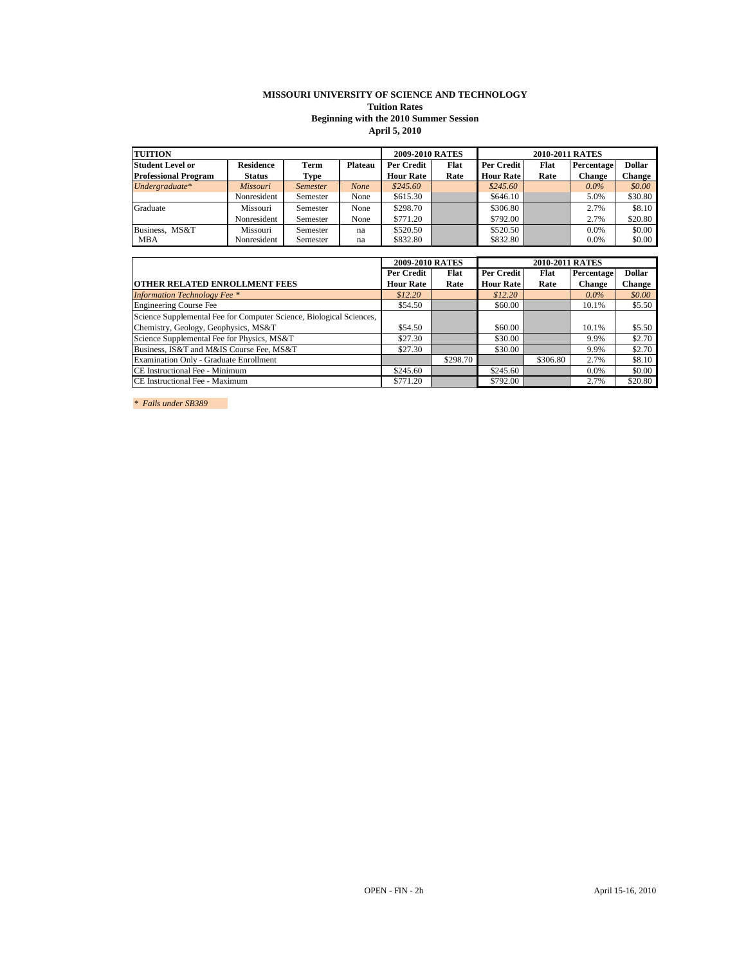## **MISSOURI UNIVERSITY OF SCIENCE AND TECHNOLOGY Tuition Rates Beginning with the 2010 Summer Session**

# **April 5, 2010**

| <b>TUITION</b>              |                  |                 |                | 2009-2010 RATES  |      | 2010-2011 RATES  |      |            |               |
|-----------------------------|------------------|-----------------|----------------|------------------|------|------------------|------|------------|---------------|
| <b>Student Level or</b>     | <b>Residence</b> | <b>Term</b>     | <b>Plateau</b> | Per Credit       | Flat | Per Credit       | Flat | Percentage | <b>Dollar</b> |
| <b>Professional Program</b> | Status           | Type            |                | <b>Hour Rate</b> | Rate | <b>Hour Rate</b> | Rate | Change     | Change        |
| Undergraduate $*$           | Missouri         | <i>Semester</i> | None           | \$245.60         |      | \$245.60         |      | $0.0\%$    | \$0.00        |
|                             | Nonresident      | Semester        | None           | \$615.30         |      | \$646.10         |      | 5.0%       | \$30.80       |
| Graduate                    | Missouri         | Semester        | None           | \$298.70         |      | \$306.80         |      | 2.7%       | \$8.10        |
|                             | Nonresident      | Semester        | None           | \$771.20         |      | \$792.00         |      | 2.7%       | \$20.80       |
| Business, MS&T              | Missouri         | Semester        | na             | \$520.50         |      | \$520.50         |      | 0.0%       | \$0.00        |
| <b>MBA</b>                  | Nonresident      | Semester        | na             | \$832.80         |      | \$832.80         |      | $0.0\%$    | \$0.00        |

|                                                                     | 2009-2010 RATES  |          |                  |          |               |               |
|---------------------------------------------------------------------|------------------|----------|------------------|----------|---------------|---------------|
|                                                                     | Per Credit       | Flat     | Per Credit       | Flat     | Percentage    | <b>Dollar</b> |
| <b>OTHER RELATED ENROLLMENT FEES</b>                                | <b>Hour Rate</b> | Rate     | <b>Hour Rate</b> | Rate     | <b>Change</b> | <b>Change</b> |
| <b>Information Technology Fee</b> *                                 | \$12.20          |          | \$12.20          |          | $0.0\%$       | \$0.00        |
| <b>Engineering Course Fee</b>                                       | \$54.50          |          | \$60.00          |          | 10.1%         | \$5.50        |
| Science Supplemental Fee for Computer Science, Biological Sciences, |                  |          |                  |          |               |               |
| Chemistry, Geology, Geophysics, MS&T                                | \$54.50          |          | \$60.00          |          | 10.1%         | \$5.50        |
| Science Supplemental Fee for Physics, MS&T                          | \$27.30          |          | \$30.00          |          | 9.9%          | \$2.70        |
| Business, IS&T and M&IS Course Fee, MS&T                            | \$27.30          |          | \$30.00          |          | 9.9%          | \$2.70        |
| Examination Only - Graduate Enrollment                              |                  | \$298.70 |                  | \$306.80 | 2.7%          | \$8.10        |
| CE Instructional Fee - Minimum                                      | \$245.60         |          | \$245.60         |          | $0.0\%$       | \$0.00        |
| CE Instructional Fee - Maximum                                      | \$771.20         |          | \$792.00         |          | 2.7%          | \$20.80       |

*\* Falls under SB389*